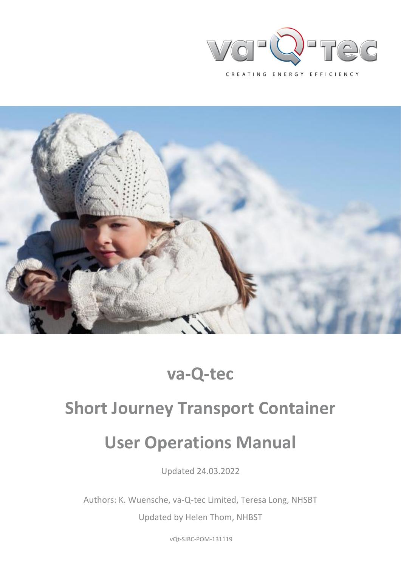



## **va-Q-tec**

# **Short Journey Transport Container**

# **User Operations Manual**

Updated 24.03.2022

Authors: K. Wuensche, va-Q-tec Limited, Teresa Long, NHSBT

Updated by Helen Thom, NHBST

vQt-SJBC-POM-131119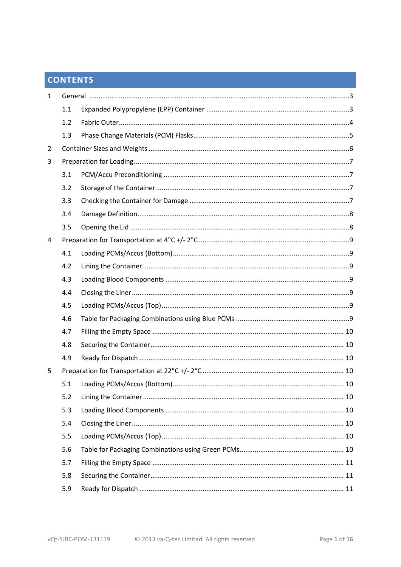## **CONTENTS**

| $\mathbf{1}$ |     |  |  |  |
|--------------|-----|--|--|--|
|              | 1.1 |  |  |  |
|              | 1.2 |  |  |  |
|              | 1.3 |  |  |  |
| 2            |     |  |  |  |
| 3            |     |  |  |  |
|              | 3.1 |  |  |  |
|              | 3.2 |  |  |  |
|              | 3.3 |  |  |  |
|              | 3.4 |  |  |  |
|              | 3.5 |  |  |  |
| 4            |     |  |  |  |
|              | 4.1 |  |  |  |
|              | 4.2 |  |  |  |
|              | 4.3 |  |  |  |
|              | 4.4 |  |  |  |
|              | 4.5 |  |  |  |
|              | 4.6 |  |  |  |
|              | 4.7 |  |  |  |
|              | 4.8 |  |  |  |
|              | 4.9 |  |  |  |
| 5            |     |  |  |  |
|              | 5.1 |  |  |  |
|              | 5.2 |  |  |  |
|              | 5.3 |  |  |  |
|              | 5.4 |  |  |  |
|              | 5.5 |  |  |  |
|              | 5.6 |  |  |  |
|              | 5.7 |  |  |  |
|              | 5.8 |  |  |  |
|              | 5.9 |  |  |  |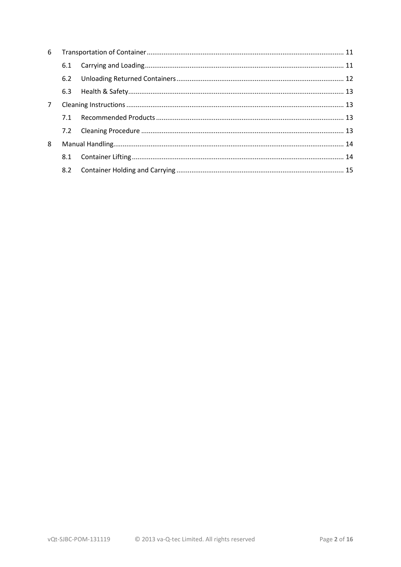| 6           |     |  |  |
|-------------|-----|--|--|
|             | 6.1 |  |  |
|             | 6.2 |  |  |
|             | 6.3 |  |  |
| $7^{\circ}$ |     |  |  |
|             | 7.1 |  |  |
|             | 7.2 |  |  |
| 8           |     |  |  |
|             | 8.1 |  |  |
|             | 8.2 |  |  |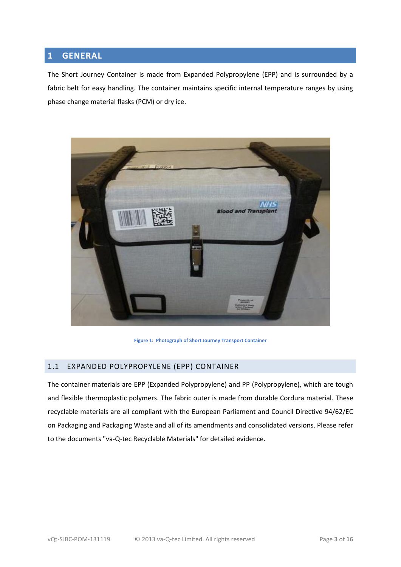#### <span id="page-3-0"></span>**1 GENERAL**

The Short Journey Container is made from Expanded Polypropylene (EPP) and is surrounded by a fabric belt for easy handling. The container maintains specific internal temperature ranges by using phase change material flasks (PCM) or dry ice.



**Figure 1: Photograph of Short Journey Transport Container** 

#### <span id="page-3-1"></span>1.1 EXPANDED POLYPROPYLENE (EPP) CONTAINER

<span id="page-3-2"></span>The container materials are EPP (Expanded Polypropylene) and PP (Polypropylene), which are tough and flexible thermoplastic polymers. The fabric outer is made from durable Cordura material. These recyclable materials are all compliant with the European Parliament and Council Directive 94/62/EC on Packaging and Packaging Waste and all of its amendments and consolidated versions. Please refer to the documents "va-Q-tec Recyclable Materials" for detailed evidence.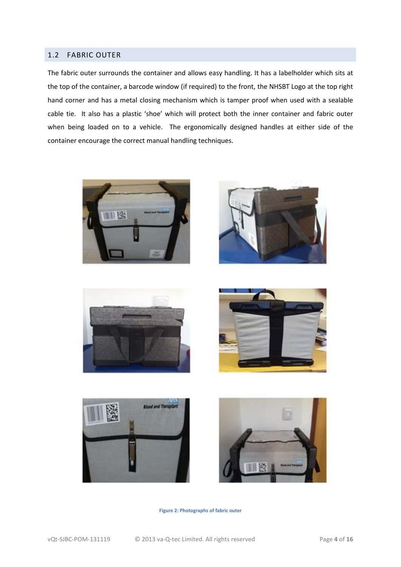#### 1.2 FABRIC OUTER

The fabric outer surrounds the container and allows easy handling. It has a labelholder which sits at the top of the container, a barcode window (if required) to the front, the NHSBT Logo at the top right hand corner and has a metal closing mechanism which is tamper proof when used with a sealable cable tie. It also has a plastic 'shoe' which will protect both the inner container and fabric outer when being loaded on to a vehicle. The ergonomically designed handles at either side of the container encourage the correct manual handling techniques.













**Figure 2: Photographs of fabric outer**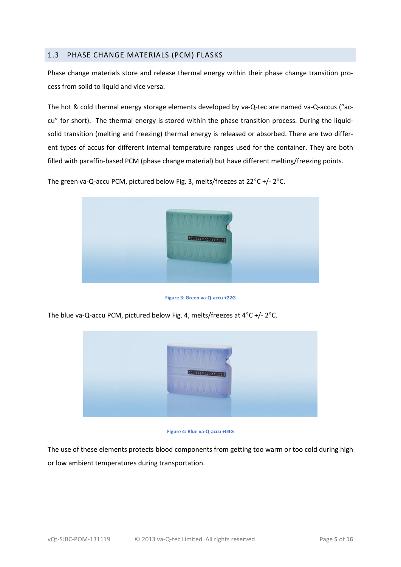#### <span id="page-5-0"></span>1.3 PHASE CHANGE MATERIALS (PCM) FLASKS

Phase change materials store and release thermal energy within their phase change transition process from solid to liquid and vice versa.

The hot & cold thermal energy storage elements developed by va-Q-tec are named va-Q-accus ("accu" for short). The thermal energy is stored within the phase transition process. During the liquidsolid transition (melting and freezing) thermal energy is released or absorbed. There are two different types of accus for different internal temperature ranges used for the container. They are both filled with paraffin-based PCM (phase change material) but have different melting/freezing points.

The green va-Q-accu PCM, pictured below Fig. 3, melts/freezes at 22°C +/- 2°C.



**Figure 3: Green va-Q-accu +22G**

The blue va-Q-accu PCM, pictured below Fig. 4, melts/freezes at 4°C +/- 2°C.



**Figure 4: Blue va-Q-accu +04G**

The use of these elements protects blood components from getting too warm or too cold during high or low ambient temperatures during transportation.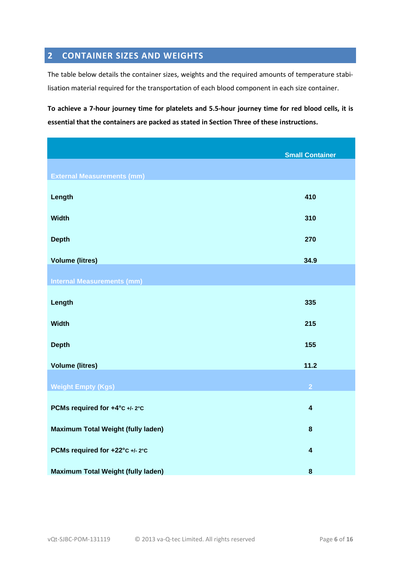## <span id="page-6-0"></span>**2 CONTAINER SIZES AND WEIGHTS**

The table below details the container sizes, weights and the required amounts of temperature stabilisation material required for the transportation of each blood component in each size container.

**To achieve a 7-hour journey time for platelets and 5.5-hour journey time for red blood cells, it is essential that the containers are packed as stated in Section Three of these instructions.**

|                                           | <b>Small Container</b>  |
|-------------------------------------------|-------------------------|
|                                           |                         |
| <b>External Measurements (mm)</b>         |                         |
| Length                                    | 410                     |
| <b>Width</b>                              | 310                     |
| <b>Depth</b>                              | 270                     |
| <b>Volume (litres)</b>                    | 34.9                    |
| <b>Internal Measurements (mm)</b>         |                         |
| Length                                    | 335                     |
| <b>Width</b>                              | 215                     |
| <b>Depth</b>                              | 155                     |
| <b>Volume (litres)</b>                    | 11.2                    |
| <b>Weight Empty (Kgs)</b>                 | $\overline{2}$          |
| PCMs required for +4°C +/- 2°C            | $\overline{\mathbf{4}}$ |
| Maximum Total Weight (fully laden)        | $\bf{8}$                |
| PCMs required for +22°C +/- 2°C           | $\overline{\mathbf{4}}$ |
| <b>Maximum Total Weight (fully laden)</b> | $\bf{8}$                |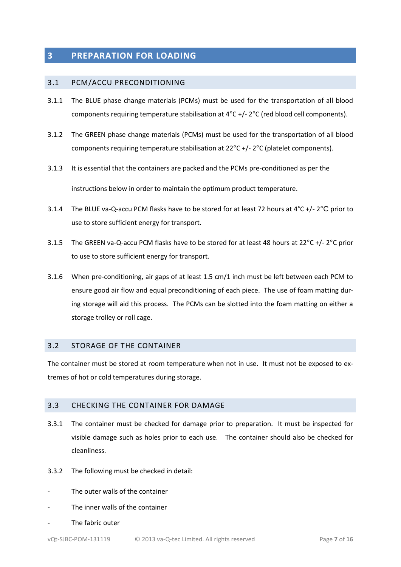#### <span id="page-7-0"></span>**3 PREPARATION FOR LOADING**

#### <span id="page-7-1"></span>3.1 PCM/ACCU PRECONDITIONING

- 3.1.1 The BLUE phase change materials (PCMs) must be used for the transportation of all blood components requiring temperature stabilisation at 4°C +/- 2°C (red blood cell components).
- 3.1.2 The GREEN phase change materials (PCMs) must be used for the transportation of all blood components requiring temperature stabilisation at 22°C +/- 2°C (platelet components).
- 3.1.3 It is essential that the containers are packed and the PCMs pre-conditioned as per the instructions below in order to maintain the optimum product temperature.
- 3.1.4 The BLUE va-Q-accu PCM flasks have to be stored for at least 72 hours at  $4^{\circ}$ C +/- 2 $^{\circ}$ C prior to use to store sufficient energy for transport.
- 3.1.5 The GREEN va-Q-accu PCM flasks have to be stored for at least 48 hours at 22°C +/- 2°C prior to use to store sufficient energy for transport.
- 3.1.6 When pre-conditioning, air gaps of at least 1.5 cm/1 inch must be left between each PCM to ensure good air flow and equal preconditioning of each piece. The use of foam matting during storage will aid this process. The PCMs can be slotted into the foam matting on either a storage trolley or roll cage.

#### 3.2 STORAGE OF THE CONTAINER

The container must be stored at room temperature when not in use. It must not be exposed to extremes of hot or cold temperatures during storage.

#### 3.3 CHECKING THE CONTAINER FOR DAMAGE

- 3.3.1 The container must be checked for damage prior to preparation. It must be inspected for visible damage such as holes prior to each use. The container should also be checked for cleanliness.
- 3.3.2 The following must be checked in detail:
- The outer walls of the container
- The inner walls of the container
- The fabric outer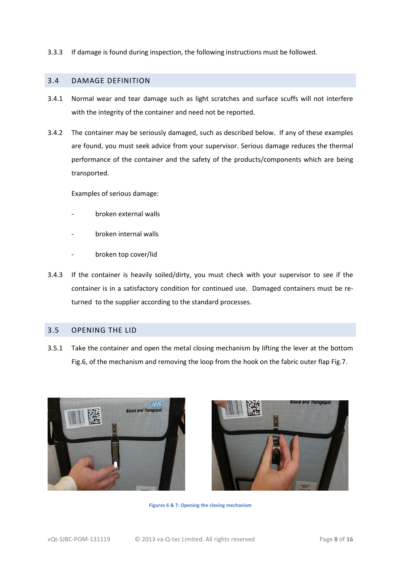3.3.3 If damage is found during inspection, the following instructions must be followed.

#### <span id="page-8-0"></span>3.4 DAMAGE DEFINITION

- 3.4.1 Normal wear and tear damage such as light scratches and surface scuffs will not interfere with the integrity of the container and need not be reported.
- 3.4.2 The container may be seriously damaged, such as described below. If any of these examples are found, you must seek advice from your supervisor. Serious damage reduces the thermal performance of the container and the safety of the products/components which are being transported.

Examples of serious damage:

- broken external walls
- broken internal walls
- broken top cover/lid
- 3.4.3 If the container is heavily soiled/dirty, you must check with your supervisor to see if the container is in a satisfactory condition for continued use. Damaged containers must be returned to the supplier according to the standard processes.

#### <span id="page-8-1"></span>3.5 OPENING THE LID

3.5.1 Take the container and open the metal closing mechanism by lifting the lever at the bottom Fig.6, of the mechanism and removing the loop from the hook on the fabric outer flap Fig.7.





**Figures 6 & 7: Opening the closing mechanism**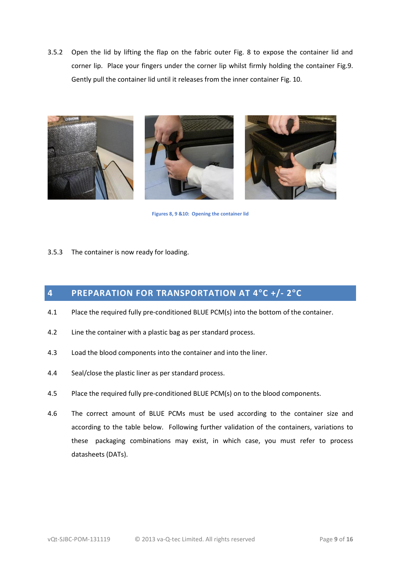3.5.2 Open the lid by lifting the flap on the fabric outer Fig. 8 to expose the container lid and corner lip. Place your fingers under the corner lip whilst firmly holding the container Fig.9. Gently pull the container lid until it releases from the inner container Fig. 10.







**Figures 8, 9 &10: Opening the container lid**

3.5.3 The container is now ready for loading.

## **4 PREPARATION FOR TRANSPORTATION AT 4°C +/- 2°C**

- 4.1 Place the required fully pre-conditioned BLUE PCM(s) into the bottom of the container.
- 4.2 Line the container with a plastic bag as per standard process.
- 4.3 Load the blood components into the container and into the liner.
- 4.4 Seal/close the plastic liner as per standard process.
- 4.5 Place the required fully pre-conditioned BLUE PCM(s) on to the blood components.
- 4.6 The correct amount of BLUE PCMs must be used according to the container size and according to the table below. Following further validation of the containers, variations to these packaging combinations may exist, in which case, you must refer to process datasheets (DATs).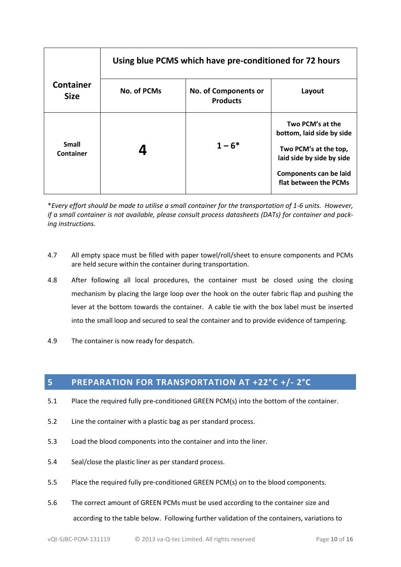|                                  | Using blue PCMS which have pre-conditioned for 72 hours |                                         |                                                                                                                                                               |
|----------------------------------|---------------------------------------------------------|-----------------------------------------|---------------------------------------------------------------------------------------------------------------------------------------------------------------|
| <b>Container</b><br><b>Size</b>  | <b>No. of PCMs</b>                                      | No. of Components or<br><b>Products</b> | Layout                                                                                                                                                        |
| <b>Small</b><br><b>Container</b> |                                                         | $1 - 6*$                                | Two PCM's at the<br>bottom, laid side by side<br>Two PCM's at the top,<br>laid side by side by side<br><b>Components can be laid</b><br>flat between the PCMs |

\**Every effort should be made to utilise a small container for the transportation of 1-6 units. However, if a small container is not available, please consult process datasheets (DATs) for container and packing instructions.*

- 4.7 All empty space must be filled with paper towel/roll/sheet to ensure components and PCMs are held secure within the container during transportation.
- 4.8 After following all local procedures, the container must be closed using the closing mechanism by placing the large loop over the hook on the outer fabric flap and pushing the lever at the bottom towards the container. A cable tie with the box label must be inserted into the small loop and secured to seal the container and to provide evidence of tampering.
- <span id="page-10-0"></span>4.9 The container is now ready for despatch.

## **5 PREPARATION FOR TRANSPORTATION AT +22°C +/- 2°C**

- 5.1 Place the required fully pre-conditioned GREEN PCM(s) into the bottom of the container.
- 5.2 Line the container with a plastic bag as per standard process.
- 5.3 Load the blood components into the container and into the liner.
- 5.4 Seal/close the plastic liner as per standard process.
- 5.5 Place the required fully pre-conditioned GREEN PCM(s) on to the blood components.
- 5.6 The correct amount of GREEN PCMs must be used according to the container size and according to the table below. Following further validation of the containers, variations to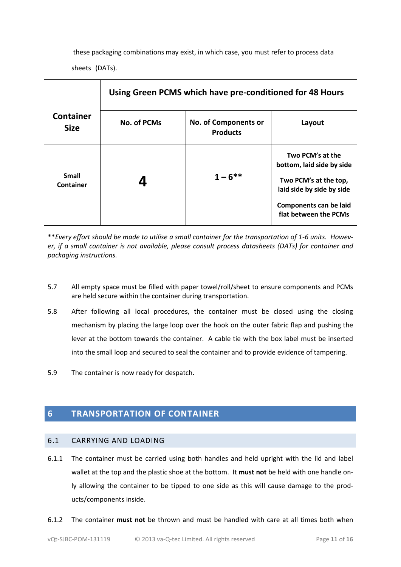these packaging combinations may exist, in which case, you must refer to process data sheets (DATs).

|                                  | Using Green PCMS which have pre-conditioned for 48 Hours |                                                |                                                                                                                                                               |  |
|----------------------------------|----------------------------------------------------------|------------------------------------------------|---------------------------------------------------------------------------------------------------------------------------------------------------------------|--|
| <b>Container</b><br><b>Size</b>  | No. of PCMs                                              | <b>No. of Components or</b><br><b>Products</b> | Layout                                                                                                                                                        |  |
| <b>Small</b><br><b>Container</b> |                                                          | $1 - 6$ **                                     | Two PCM's at the<br>bottom, laid side by side<br>Two PCM's at the top,<br>laid side by side by side<br><b>Components can be laid</b><br>flat between the PCMs |  |

<span id="page-11-0"></span>\*\**Every effort should be made to utilise a small container for the transportation of 1-6 units. However, if a small container is not available, please consult process datasheets (DATs) for container and packaging instructions.*

- 5.7 All empty space must be filled with paper towel/roll/sheet to ensure components and PCMs are held secure within the container during transportation.
- 5.8 After following all local procedures, the container must be closed using the closing mechanism by placing the large loop over the hook on the outer fabric flap and pushing the lever at the bottom towards the container. A cable tie with the box label must be inserted into the small loop and secured to seal the container and to provide evidence of tampering.
- 5.9 The container is now ready for despatch.

### **6 TRANSPORTATION OF CONTAINER**

#### 6.1 CARRYING AND LOADING

- 6.1.1 The container must be carried using both handles and held upright with the lid and label wallet at the top and the plastic shoe at the bottom. It **must not** be held with one handle only allowing the container to be tipped to one side as this will cause damage to the products/components inside.
- 6.1.2 The container **must not** be thrown and must be handled with care at all times both when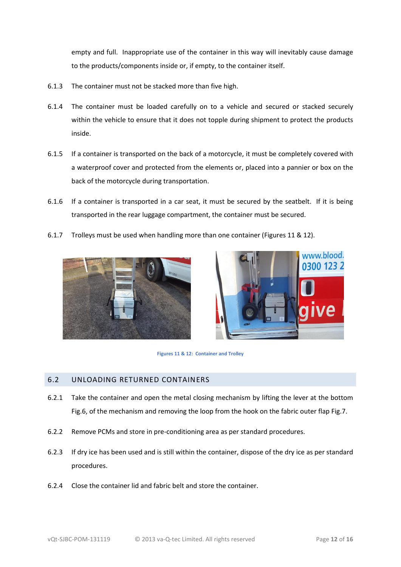empty and full. Inappropriate use of the container in this way will inevitably cause damage to the products/components inside or, if empty, to the container itself.

- 6.1.3 The container must not be stacked more than five high.
- 6.1.4 The container must be loaded carefully on to a vehicle and secured or stacked securely within the vehicle to ensure that it does not topple during shipment to protect the products inside.
- 6.1.5 If a container is transported on the back of a motorcycle, it must be completely covered with a waterproof cover and protected from the elements or, placed into a pannier or box on the back of the motorcycle during transportation.
- 6.1.6 If a container is transported in a car seat, it must be secured by the seatbelt. If it is being transported in the rear luggage compartment, the container must be secured.
- 6.1.7 Trolleys must be used when handling more than one container (Figures 11 & 12).







#### 6.2 UNLOADING RETURNED CONTAINERS

- 6.2.1 Take the container and open the metal closing mechanism by lifting the lever at the bottom Fig.6, of the mechanism and removing the loop from the hook on the fabric outer flap Fig.7.
- 6.2.2 Remove PCMs and store in pre-conditioning area as per standard procedures.
- 6.2.3 If dry ice has been used and is still within the container, dispose of the dry ice as per standard procedures.
- 6.2.4 Close the container lid and fabric belt and store the container.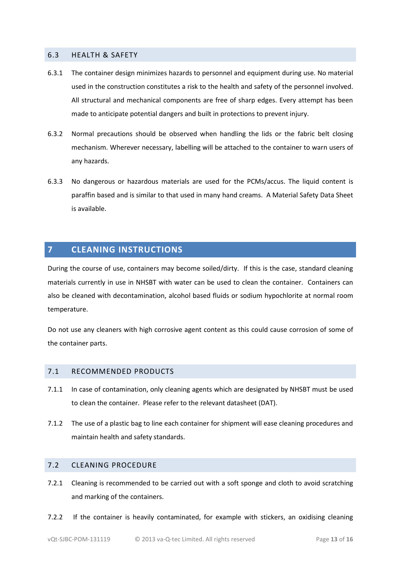#### 6.3 HEALTH & SAFETY

- 6.3.1 The container design minimizes hazards to personnel and equipment during use. No material used in the construction constitutes a risk to the health and safety of the personnel involved. All structural and mechanical components are free of sharp edges. Every attempt has been made to anticipate potential dangers and built in protections to prevent injury.
- 6.3.2 Normal precautions should be observed when handling the lids or the fabric belt closing mechanism. Wherever necessary, labelling will be attached to the container to warn users of any hazards.
- 6.3.3 No dangerous or hazardous materials are used for the PCMs/accus. The liquid content is paraffin based and is similar to that used in many hand creams. A Material Safety Data Sheet is available.

#### <span id="page-13-0"></span>**7 CLEANING INSTRUCTIONS**

During the course of use, containers may become soiled/dirty. If this is the case, standard cleaning materials currently in use in NHSBT with water can be used to clean the container. Containers can also be cleaned with decontamination, alcohol based fluids or sodium hypochlorite at normal room temperature.

Do not use any cleaners with high corrosive agent content as this could cause corrosion of some of the container parts.

#### <span id="page-13-1"></span>7.1 RECOMMENDED PRODUCTS

- 7.1.1 In case of contamination, only cleaning agents which are designated by NHSBT must be used to clean the container. Please refer to the relevant datasheet (DAT).
- 7.1.2 The use of a plastic bag to line each container for shipment will ease cleaning procedures and maintain health and safety standards.

#### <span id="page-13-2"></span>7.2 CLEANING PROCEDURE

- 7.2.1 Cleaning is recommended to be carried out with a soft sponge and cloth to avoid scratching and marking of the containers.
- 7.2.2 If the container is heavily contaminated, for example with stickers, an oxidising cleaning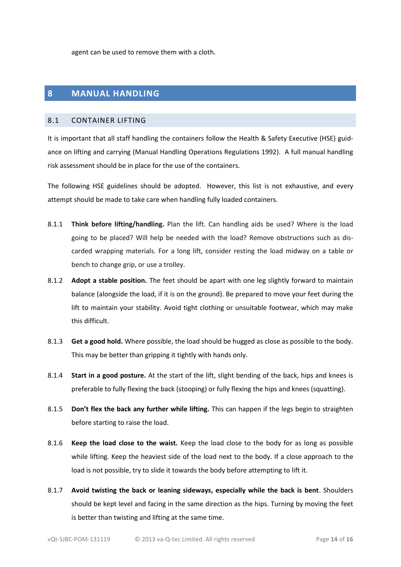agent can be used to remove them with a cloth.

#### **8 MANUAL HANDLING**

#### <span id="page-14-0"></span>8.1 CONTAINER LIFTING

It is important that all staff handling the containers follow the Health & Safety Executive (HSE) guidance on lifting and carrying (Manual Handling Operations Regulations 1992). A full manual handling risk assessment should be in place for the use of the containers.

The following HSE guidelines should be adopted. However, this list is not exhaustive, and every attempt should be made to take care when handling fully loaded containers.

- 8.1.1 **Think before lifting/handling.** Plan the lift. Can handling aids be used? Where is the load going to be placed? Will help be needed with the load? Remove obstructions such as discarded wrapping materials. For a long lift, consider resting the load midway on a table or bench to change grip, or use a trolley.
- 8.1.2 **Adopt a stable position.** The feet should be apart with one leg slightly forward to maintain balance (alongside the load, if it is on the ground). Be prepared to move your feet during the lift to maintain your stability. Avoid tight clothing or unsuitable footwear, which may make this difficult.
- 8.1.3 **Get a good hold.** Where possible, the load should be hugged as close as possible to the body. This may be better than gripping it tightly with hands only.
- 8.1.4 **Start in a good posture.** At the start of the lift, slight bending of the back, hips and knees is preferable to fully flexing the back (stooping) or fully flexing the hips and knees (squatting).
- 8.1.5 **Don't flex the back any further while lifting.** This can happen if the legs begin to straighten before starting to raise the load.
- 8.1.6 **Keep the load close to the waist.** Keep the load close to the body for as long as possible while lifting. Keep the heaviest side of the load next to the body. If a close approach to the load is not possible, try to slide it towards the body before attempting to lift it.
- 8.1.7 **Avoid twisting the back or leaning sideways, especially while the back is bent**. Shoulders should be kept level and facing in the same direction as the hips. Turning by moving the feet is better than twisting and lifting at the same time.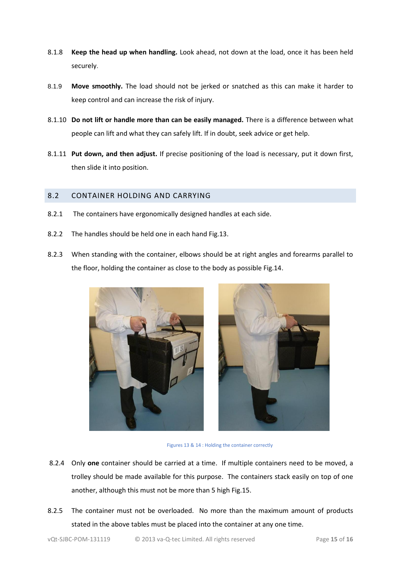- 8.1.8 **Keep the head up when handling.** Look ahead, not down at the load, once it has been held securely.
- 8.1.9 **Move smoothly.** The load should not be jerked or snatched as this can make it harder to keep control and can increase the risk of injury.
- 8.1.10 **Do not lift or handle more than can be easily managed.** There is a difference between what people can lift and what they can safely lift. If in doubt, seek advice or get help.
- 8.1.11 **Put down, and then adjust.** If precise positioning of the load is necessary, put it down first, then slide it into position.

#### <span id="page-15-0"></span>8.2 CONTAINER HOLDING AND CARRYING

- 8.2.1 The containers have ergonomically designed handles at each side.
- 8.2.2 The handles should be held one in each hand Fig.13.
- 8.2.3 When standing with the container, elbows should be at right angles and forearms parallel to the floor, holding the container as close to the body as possible Fig.14.





Figures 13 & 14 : Holding the container correctly

- 8.2.4 Only **one** container should be carried at a time. If multiple containers need to be moved, a trolley should be made available for this purpose. The containers stack easily on top of one another, although this must not be more than 5 high Fig.15.
- 8.2.5 The container must not be overloaded. No more than the maximum amount of products stated in the above tables must be placed into the container at any one time.